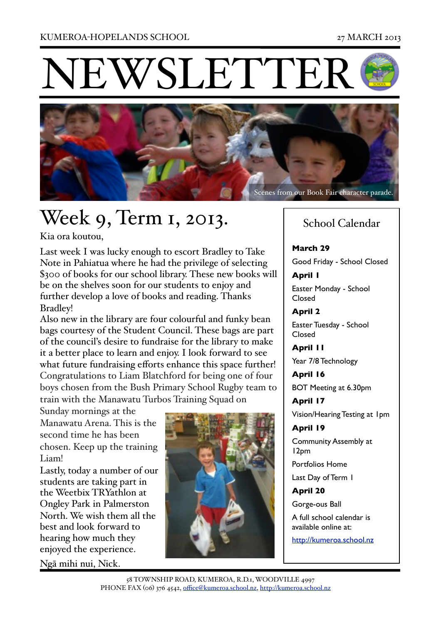**EWSLETTEI** 



# Week 9, Term 1, 2013.

Kia ora koutou,

Last week I was lucky enough to escort Bradley to Take Note in Pahiatua where he had the privilege of selecting \$300 of books for our school library. These new books will be on the shelves soon for our students to enjoy and further develop a love of books and reading. Thanks Bradley!

Also new in the library are four colourful and funky bean bags courtesy of the Student Council. These bags are part of the council's desire to fundraise for the library to make it a better place to learn and enjoy. I look forward to see what future fundraising efforts enhance this space further! Congratulations to Liam Blatchford for being one of four boys chosen from the Bush Primary School Rugby team to train with the Manawatu Turbos Training Squad on

Sunday mornings at the Manawatu Arena. This is the second time he has been chosen. Keep up the training Liam!

Lastly, today a number of our students are taking part in the Weetbix TRYathlon at Ongley Park in Palmerston North. We wish them all the best and look forward to hearing how much they enjoyed the experience.

Ngā mihi nui, Nick.



### School Calendar

**March 29** Good Friday - School Closed

**April 1** Easter Monday - School Closed

**April 2** Easter Tuesday - School Closed

**April 11** Year 7/8 Technology

**April 16** BOT Meeting at 6.30pm

**April 17** Vision/Hearing Testing at 1pm

**April 19** Community Assembly at 12pm

Portfolios Home

Last Day of Term 1

**April 20**

Gorge-ous Ball A full school calendar is available online at: <http://kumeroa.school.nz>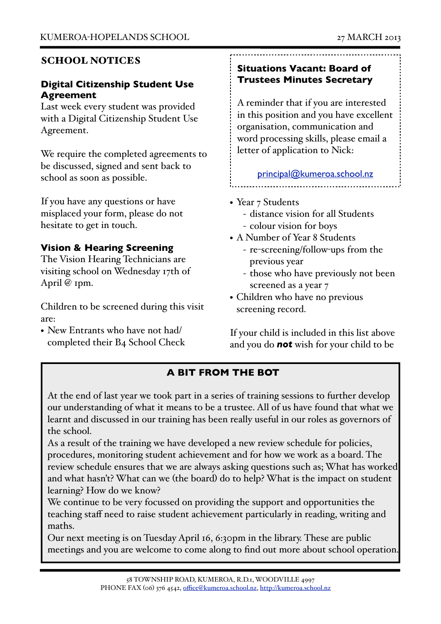#### SCHOOL NOTICES

#### **Digital Citizenship Student Use Agreement**

Last week every student was provided with a Digital Citizenship Student Use Agreement.

We require the completed agreements to be discussed, signed and sent back to school as soon as possible.

If you have any questions or have misplaced your form, please do not hesitate to get in touch.

#### **Vision & Hearing Screening**

The Vision Hearing Technicians are visiting school on Wednesday 17th of April @ 1pm.

Children to be screened during this visit are:

• New Entrants who have not had/ completed their B4 School Check

#### **Situations Vacant: Board of Trustees Minutes Secretary**

A reminder that if you are interested in this position and you have excellent organisation, communication and word processing skills, please email a letter of application to Nick:

[principal@kumeroa.school.nz](mailto:principal@kumeroa.school.nz)

- Year 7 Students
	- distance vision for all Students
	- colour vision for boys
- A Number of Year 8 Students
	- re-screening/follow-ups from the previous year
	- those who have previously not been screened as a year 7
- Children who have no previous screening record.

If your child is included in this list above and you do *not* wish for your child to be

#### **A BIT FROM THE BOT**

At the end of last year we took part in a series of training sessions to further develop our understanding of what it means to be a trustee. All of us have found that what we learnt and discussed in our training has been really useful in our roles as governors of the school.

As a result of the training we have developed a new review schedule for policies, procedures, monitoring student achievement and for how we work as a board. The review schedule ensures that we are always asking questions such as; What has worked and what hasn't? What can we (the board) do to help? What is the impact on student learning? How do we know?

We continue to be very focussed on providing the support and opportunities the teaching staff need to raise student achievement particularly in reading, writing and maths.

Our next meeting is on Tuesday April 16, 6:30pm in the library. These are public meetings and you are welcome to come along to find out more about school operation.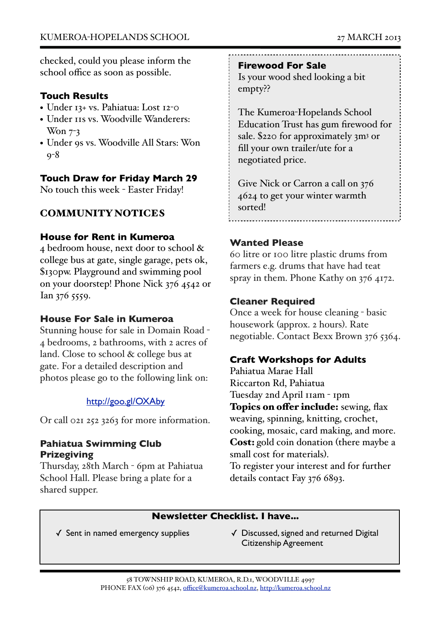checked, could you please inform the school office as soon as possible.

#### **Touch Results**

- Under 13+ vs. Pahiatua: Lost 12-0
- Under 11s vs. Woodville Wanderers: Won  $7-3$
- Under 9s vs. Woodville All Stars: Won 9-8

#### **Touch Draw for Friday March 29**

No touch this week - Easter Friday!

#### COMMUNITY NOTICES

#### **House for Rent in Kumeroa**

4 bedroom house, next door to school & college bus at gate, single garage, pets ok, \$130pw. Playground and swimming pool on your doorstep! Phone Nick 376 4542 or Ian 376 5559.

#### **House For Sale in Kumeroa**

Stunning house for sale in Domain Road - 4 bedrooms, 2 bathrooms, with 2 acres of land. Close to school & college bus at gate. For a detailed description and photos please go to the following link on:

#### <http://goo.gl/OXAby>

Or call 021 252 3263 for more information.

#### **Pahiatua Swimming Club Prizegiving**

Thursday, 28th March - 6pm at Pahiatua School Hall. Please bring a plate for a shared supper.

**Firewood For Sale**

Is your wood shed looking a bit empty??

The Kumeroa-Hopelands School Education Trust has gum firewood for sale. \$220 for approximately 3m3 or fill your own trailer/ute for a negotiated price.

Give Nick or Carron a call on 376 4624 to get your winter warmth sorted!

#### **Wanted Please**

60 litre or 100 litre plastic drums from farmers e.g. drums that have had teat spray in them. Phone Kathy on 376 4172.

#### **Cleaner Required**

Once a week for house cleaning - basic housework (approx. 2 hours). Rate negotiable. Contact Bexx Brown 376 5364.

#### **Craft Workshops for Adults**

Pahiatua Marae Hall Riccarton Rd, Pahiatua Tuesday 2nd April 11am - 1pm Topics on offer include: sewing, flax weaving, spinning, knitting, crochet, cooking, mosaic, card making, and more. Cost: gold coin donation (there maybe a small cost for materials). To register your interest and for further details contact Fay 376 6893.

#### **Newsletter Checklist. I have...**

- 
- ✓ Sent in named emergency supplies ✓ Discussed, signed and returned Digital Citizenship Agreement